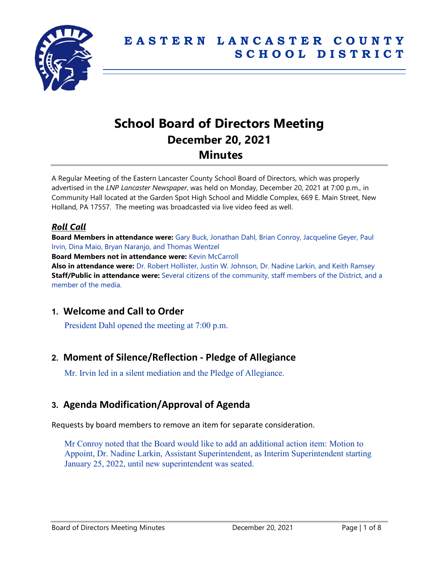

# **School Board of Directors Meeting December 20, 2021 Minutes**

A Regular Meeting of the Eastern Lancaster County School Board of Directors, which was properly advertised in the *LNP Lancaster Newspaper*, was held on Monday, December 20, 2021 at 7:00 p.m., in Community Hall located at the Garden Spot High School and Middle Complex, 669 E. Main Street, New Holland, PA 17557. The meeting was broadcasted via live video feed as well.

### *Roll Call*

**Board Members in attendance were:** Gary Buck, Jonathan Dahl, Brian Conroy, Jacqueline Geyer, Paul Irvin, Dina Maio, Bryan Naranjo, and Thomas Wentzel

**Board Members not in attendance were:** Kevin McCarroll

**Also in attendance were:** Dr. Robert Hollister, Justin W. Johnson, Dr. Nadine Larkin, and Keith Ramsey **Staff/Public in attendance were:** Several citizens of the community, staff members of the District, and a member of the media.

# **1. Welcome and Call to Order**

President Dahl opened the meeting at 7:00 p.m.

# **2. Moment of Silence/Reflection - Pledge of Allegiance**

Mr. Irvin led in a silent mediation and the Pledge of Allegiance.

# **3. Agenda Modification/Approval of Agenda**

Requests by board members to remove an item for separate consideration.

Mr Conroy noted that the Board would like to add an additional action item: Motion to Appoint, Dr. Nadine Larkin, Assistant Superintendent, as Interim Superintendent starting January 25, 2022, until new superintendent was seated.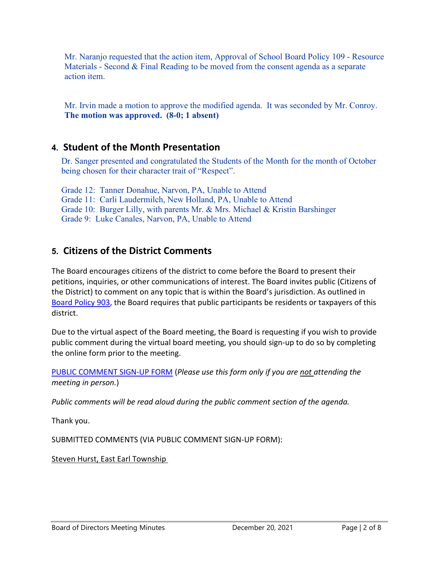Mr. Naranjo requested that the action item, Approval of School Board Policy 109 - Resource Materials - Second & Final Reading to be moved from the consent agenda as a separate action item.

Mr. Irvin made a motion to approve the modified agenda. It was seconded by Mr. Conroy. **The motion was approved. (8-0; 1 absent)** 

# **4. Student of the Month Presentation**

Dr. Sanger presented and congratulated the Students of the Month for the month of October being chosen for their character trait of "Respect".

Grade 12: Tanner Donahue, Narvon, PA, Unable to Attend Grade 11: Carli Laudermilch, New Holland, PA, Unable to Attend Grade 10: Burger Lilly, with parents Mr. & Mrs. Michael & Kristin Barshinger Grade 9: Luke Canales, Narvon, PA, Unable to Attend

# **5. Citizens of the District Comments**

The Board encourages citizens of the district to come before the Board to present their petitions, inquiries, or other communications of interest. The Board invites public (Citizens of the District) to comment on any topic that is within the Board's jurisdiction. As outlined in [Board Policy 903,](http://go.boarddocs.com/pa/elan/Board.nsf/goto?open&id=C7KFUY40E2FC) the Board requires that public participants be residents or taxpayers of this district.

Due to the virtual aspect of the Board meeting, the Board is requesting if you wish to provide public comment during the virtual board meeting, you should sign-up to do so by completing the online form prior to the meeting.

[PUBLIC COMMENT SIGN-UP FORM](https://forms.gle/zDXXoX8rZQUxt1Ap6) (*Please use this form only if you are not attending the meeting in person.*)

*Public comments will be read aloud during the public comment section of the agenda.*

Thank you.

SUBMITTED COMMENTS (VIA PUBLIC COMMENT SIGN-UP FORM):

Steven Hurst, East Earl Township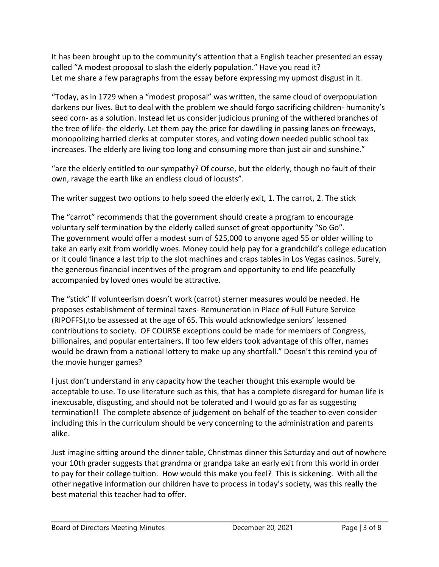It has been brought up to the community's attention that a English teacher presented an essay called "A modest proposal to slash the elderly population." Have you read it? Let me share a few paragraphs from the essay before expressing my upmost disgust in it.

"Today, as in 1729 when a "modest proposal" was written, the same cloud of overpopulation darkens our lives. But to deal with the problem we should forgo sacrificing children- humanity's seed corn- as a solution. Instead let us consider judicious pruning of the withered branches of the tree of life- the elderly. Let them pay the price for dawdling in passing lanes on freeways, monopolizing harried clerks at computer stores, and voting down needed public school tax increases. The elderly are living too long and consuming more than just air and sunshine."

"are the elderly entitled to our sympathy? Of course, but the elderly, though no fault of their own, ravage the earth like an endless cloud of locusts".

The writer suggest two options to help speed the elderly exit, 1. The carrot, 2. The stick

The "carrot" recommends that the government should create a program to encourage voluntary self termination by the elderly called sunset of great opportunity "So Go". The government would offer a modest sum of \$25,000 to anyone aged 55 or older willing to take an early exit from worldly woes. Money could help pay for a grandchild's college education or it could finance a last trip to the slot machines and craps tables in Los Vegas casinos. Surely, the generous financial incentives of the program and opportunity to end life peacefully accompanied by loved ones would be attractive.

The "stick" If volunteerism doesn't work (carrot) sterner measures would be needed. He proposes establishment of terminal taxes- Remuneration in Place of Full Future Service (RIPOFFS),to be assessed at the age of 65. This would acknowledge seniors' lessened contributions to society. OF COURSE exceptions could be made for members of Congress, billionaires, and popular entertainers. If too few elders took advantage of this offer, names would be drawn from a national lottery to make up any shortfall." Doesn't this remind you of the movie hunger games?

I just don't understand in any capacity how the teacher thought this example would be acceptable to use. To use literature such as this, that has a complete disregard for human life is inexcusable, disgusting, and should not be tolerated and I would go as far as suggesting termination!! The complete absence of judgement on behalf of the teacher to even consider including this in the curriculum should be very concerning to the administration and parents alike.

Just imagine sitting around the dinner table, Christmas dinner this Saturday and out of nowhere your 10th grader suggests that grandma or grandpa take an early exit from this world in order to pay for their college tuition. How would this make you feel? This is sickening. With all the other negative information our children have to process in today's society, was this really the best material this teacher had to offer.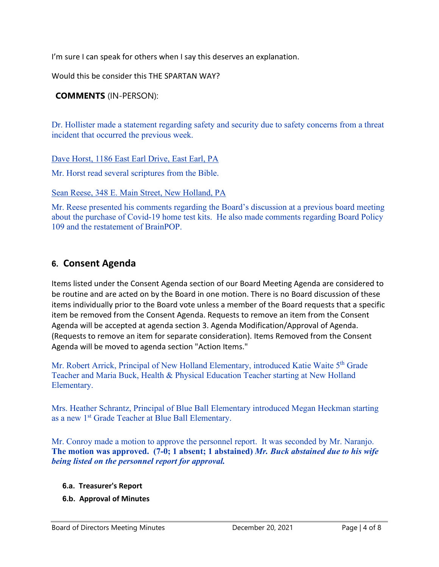I'm sure I can speak for others when I say this deserves an explanation.

Would this be consider this THE SPARTAN WAY?

### **COMMENTS** (IN-PERSON):

Dr. Hollister made a statement regarding safety and security due to safety concerns from a threat incident that occurred the previous week.

Dave Horst, 1186 East Earl Drive, East Earl, PA

Mr. Horst read several scriptures from the Bible.

Sean Reese, 348 E. Main Street, New Holland, PA

Mr. Reese presented his comments regarding the Board's discussion at a previous board meeting about the purchase of Covid-19 home test kits. He also made comments regarding Board Policy 109 and the restatement of BrainPOP.

### **6. Consent Agenda**

Items listed under the Consent Agenda section of our Board Meeting Agenda are considered to be routine and are acted on by the Board in one motion. There is no Board discussion of these items individually prior to the Board vote unless a member of the Board requests that a specific item be removed from the Consent Agenda. Requests to remove an item from the Consent Agenda will be accepted at agenda section 3. Agenda Modification/Approval of Agenda. (Requests to remove an item for separate consideration). Items Removed from the Consent Agenda will be moved to agenda section "Action Items."

Mr. Robert Arrick, Principal of New Holland Elementary, introduced Katie Waite 5<sup>th</sup> Grade Teacher and Maria Buck, Health & Physical Education Teacher starting at New Holland Elementary.

Mrs. Heather Schrantz, Principal of Blue Ball Elementary introduced Megan Heckman starting as a new 1st Grade Teacher at Blue Ball Elementary.

Mr. Conroy made a motion to approve the personnel report. It was seconded by Mr. Naranjo. **The motion was approved. (7-0; 1 absent; 1 abstained)** *Mr. Buck abstained due to his wife being listed on the personnel report for approval.*

- **6.a. Treasurer's Report**
- **6.b. Approval of Minutes**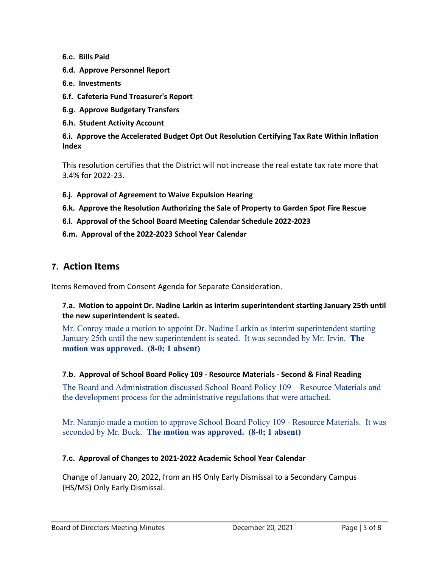**6.c. Bills Paid**

- **6.d. Approve Personnel Report**
- **6.e. Investments**
- **6.f. Cafeteria Fund Treasurer's Report**
- **6.g. Approve Budgetary Transfers**
- **6.h. Student Activity Account**

**6.i. Approve the Accelerated Budget Opt Out Resolution Certifying Tax Rate Within Inflation Index**

This resolution certifies that the District will not increase the real estate tax rate more that 3.4% for 2022-23.

- **6.j. Approval of Agreement to Waive Expulsion Hearing**
- **6.k. Approve the Resolution Authorizing the Sale of Property to Garden Spot Fire Rescue**
- **6.l. Approval of the School Board Meeting Calendar Schedule 2022-2023**
- **6.m. Approval of the 2022-2023 School Year Calendar**

### **7. Action Items**

Items Removed from Consent Agenda for Separate Consideration.

#### **7.a. Motion to appoint Dr. Nadine Larkin as interim superintendent starting January 25th until the new superintendent is seated.**

Mr. Conroy made a motion to appoint Dr. Nadine Larkin as interim superintendent starting January 25th until the new superintendent is seated. It was seconded by Mr. Irvin. **The motion was approved. (8-0; 1 absent)**

#### **7.b. Approval of School Board Policy 109 - Resource Materials - Second & Final Reading**

The Board and Administration discussed School Board Policy 109 – Resource Materials and the development process for the administrative regulations that were attached.

Mr. Naranjo made a motion to approve School Board Policy 109 - Resource Materials. It was seconded by Mr. Buck. **The motion was approved. (8-0; 1 absent)**

#### **7.c. Approval of Changes to 2021-2022 Academic School Year Calendar**

Change of January 20, 2022, from an HS Only Early Dismissal to a Secondary Campus (HS/MS) Only Early Dismissal.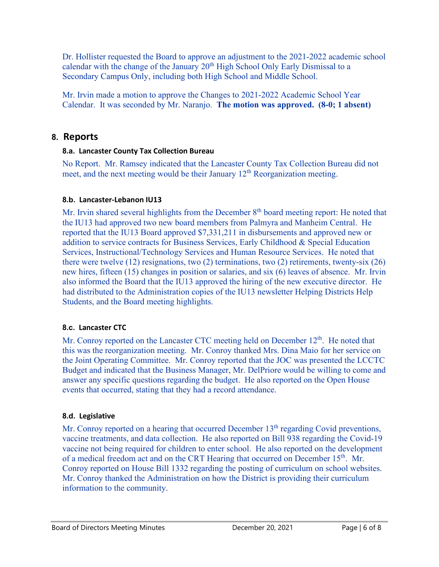Dr. Hollister requested the Board to approve an adjustment to the 2021-2022 academic school calendar with the change of the January  $20<sup>th</sup>$  High School Only Early Dismissal to a Secondary Campus Only, including both High School and Middle School.

Mr. Irvin made a motion to approve the Changes to 2021-2022 Academic School Year Calendar. It was seconded by Mr. Naranjo. **The motion was approved. (8-0; 1 absent)**

### **8. Reports**

### **8.a. Lancaster County Tax Collection Bureau**

No Report. Mr. Ramsey indicated that the Lancaster County Tax Collection Bureau did not meet, and the next meeting would be their January  $12<sup>th</sup>$  Reorganization meeting.

### **8.b. Lancaster-Lebanon IU13**

Mr. Irvin shared several highlights from the December  $8<sup>th</sup>$  board meeting report: He noted that the IU13 had approved two new board members from Palmyra and Manheim Central. He reported that the IU13 Board approved \$7,331,211 in disbursements and approved new or addition to service contracts for Business Services, Early Childhood & Special Education Services, Instructional/Technology Services and Human Resource Services. He noted that there were twelve  $(12)$  resignations, two  $(2)$  terminations, two  $(2)$  retirements, twenty-six  $(26)$ new hires, fifteen (15) changes in position or salaries, and six (6) leaves of absence. Mr. Irvin also informed the Board that the IU13 approved the hiring of the new executive director. He had distributed to the Administration copies of the IU13 newsletter Helping Districts Help Students, and the Board meeting highlights.

### **8.c. Lancaster CTC**

Mr. Conroy reported on the Lancaster CTC meeting held on December 12<sup>th</sup>. He noted that this was the reorganization meeting. Mr. Conroy thanked Mrs. Dina Maio for her service on the Joint Operating Committee. Mr. Conroy reported that the JOC was presented the LCCTC Budget and indicated that the Business Manager, Mr. DelPriore would be willing to come and answer any specific questions regarding the budget. He also reported on the Open House events that occurred, stating that they had a record attendance.

### **8.d. Legislative**

Mr. Conroy reported on a hearing that occurred December  $13<sup>th</sup>$  regarding Covid preventions, vaccine treatments, and data collection. He also reported on Bill 938 regarding the Covid-19 vaccine not being required for children to enter school. He also reported on the development of a medical freedom act and on the CRT Hearing that occurred on December 15<sup>th</sup>. Mr. Conroy reported on House Bill 1332 regarding the posting of curriculum on school websites. Mr. Conroy thanked the Administration on how the District is providing their curriculum information to the community.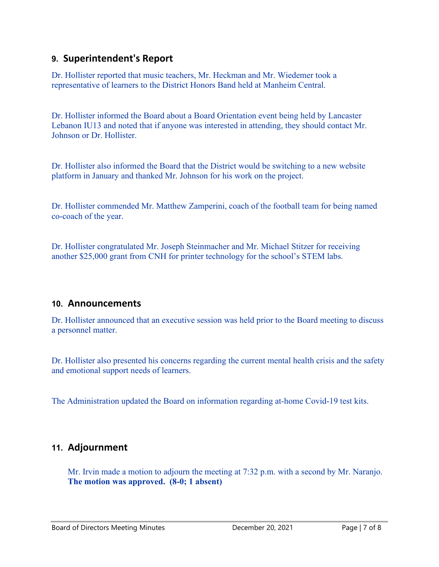# **9. Superintendent's Report**

Dr. Hollister reported that music teachers, Mr. Heckman and Mr. Wiedemer took a representative of learners to the District Honors Band held at Manheim Central.

Dr. Hollister informed the Board about a Board Orientation event being held by Lancaster Lebanon IU13 and noted that if anyone was interested in attending, they should contact Mr. Johnson or Dr. Hollister.

Dr. Hollister also informed the Board that the District would be switching to a new website platform in January and thanked Mr. Johnson for his work on the project.

Dr. Hollister commended Mr. Matthew Zamperini, coach of the football team for being named co-coach of the year.

Dr. Hollister congratulated Mr. Joseph Steinmacher and Mr. Michael Stitzer for receiving another \$25,000 grant from CNH for printer technology for the school's STEM labs.

### **10. Announcements**

Dr. Hollister announced that an executive session was held prior to the Board meeting to discuss a personnel matter.

Dr. Hollister also presented his concerns regarding the current mental health crisis and the safety and emotional support needs of learners.

The Administration updated the Board on information regarding at-home Covid-19 test kits.

# **11. Adjournment**

Mr. Irvin made a motion to adjourn the meeting at 7:32 p.m. with a second by Mr. Naranjo. **The motion was approved. (8-0; 1 absent)**